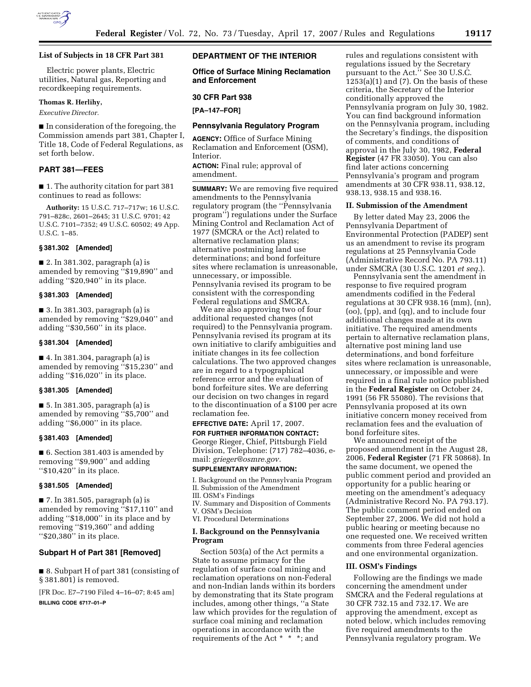

## **List of Subjects in 18 CFR Part 381**

Electric power plants, Electric utilities, Natural gas, Reporting and recordkeeping requirements.

## **Thomas R. Herlihy,**

*Executive Director.* 

■ In consideration of the foregoing, the Commission amends part 381, Chapter I, Title 18, Code of Federal Regulations, as set forth below.

## **PART 381—FEES**

■ 1. The authority citation for part 381 continues to read as follows:

**Authority:** 15 U.S.C. 717–717w; 16 U.S.C. 791–828c, 2601–2645; 31 U.S.C. 9701; 42 U.S.C. 7101–7352; 49 U.S.C. 60502; 49 App. U.S.C. 1–85.

#### **§ 381.302 [Amended]**

■ 2. In 381.302, paragraph (a) is amended by removing ''\$19,890'' and adding ''\$20,940'' in its place.

#### **§ 381.303 [Amended]**

■ 3. In 381.303, paragraph (a) is amended by removing ''\$29,040'' and adding ''\$30,560'' in its place.

## **§ 381.304 [Amended]**

■ 4. In 381.304, paragraph (a) is amended by removing ''\$15,230'' and adding ''\$16,020'' in its place.

#### **§ 381.305 [Amended]**

■ 5. In 381.305, paragraph (a) is amended by removing ''\$5,700'' and adding ''\$6,000'' in its place.

#### **§ 381.403 [Amended]**

■ 6. Section 381.403 is amended by removing ''\$9,900'' and adding ''\$10,420'' in its place.

## **§ 381.505 [Amended]**

■ 7. In 381.505, paragraph (a) is amended by removing ''\$17,110'' and adding ''\$18,000'' in its place and by removing ''\$19,360'' and adding ''\$20,380'' in its place.

# **Subpart H of Part 381 [Removed]**

■ 8. Subpart H of part 381 (consisting of § 381.801) is removed.

[FR Doc. E7–7190 Filed 4–16–07; 8:45 am]

**BILLING CODE 6717–01–P** 

# **DEPARTMENT OF THE INTERIOR**

**Office of Surface Mining Reclamation and Enforcement** 

#### **30 CFR Part 938**

**[PA–147–FOR]** 

## **Pennsylvania Regulatory Program**

**AGENCY:** Office of Surface Mining Reclamation and Enforcement (OSM), Interior. **ACTION:** Final rule; approval of

amendment.

**SUMMARY:** We are removing five required amendments to the Pennsylvania regulatory program (the ''Pennsylvania program'') regulations under the Surface Mining Control and Reclamation Act of 1977 (SMCRA or the Act) related to alternative reclamation plans; alternative postmining land use determinations; and bond forfeiture sites where reclamation is unreasonable, unnecessary, or impossible. Pennsylvania revised its program to be consistent with the corresponding Federal regulations and SMCRA.

We are also approving two of four additional requested changes (not required) to the Pennsylvania program. Pennsylvania revised its program at its own initiative to clarify ambiguities and initiate changes in its fee collection calculations. The two approved changes are in regard to a typographical reference error and the evaluation of bond forfeiture sites. We are deferring our decision on two changes in regard to the discontinuation of a \$100 per acre reclamation fee.

**EFFECTIVE DATE:** April 17, 2007.

**FOR FURTHER INFORMATION CONTACT:**  George Rieger, Chief, Pittsburgh Field Division, Telephone: (717) 782–4036, email: *grieger@osmre.gov.* 

#### **SUPPLEMENTARY INFORMATION:**

- I. Background on the Pennsylvania Program II. Submission of the Amendment
- III. OSM's Findings
- IV. Summary and Disposition of Comments
- V. OSM's Decision
- VI. Procedural Determinations

#### **I. Background on the Pennsylvania Program**

Section 503(a) of the Act permits a State to assume primacy for the regulation of surface coal mining and reclamation operations on non-Federal and non-Indian lands within its borders by demonstrating that its State program includes, among other things, ''a State law which provides for the regulation of surface coal mining and reclamation operations in accordance with the requirements of the Act \* \* \*; and

rules and regulations consistent with regulations issued by the Secretary pursuant to the Act.'' See 30 U.S.C.  $1253(a)(1)$  and  $(7)$ . On the basis of these criteria, the Secretary of the Interior conditionally approved the Pennsylvania program on July 30, 1982. You can find background information on the Pennsylvania program, including the Secretary's findings, the disposition of comments, and conditions of approval in the July 30, 1982, **Federal Register** (47 FR 33050). You can also find later actions concerning Pennsylvania's program and program amendments at 30 CFR 938.11, 938.12, 938.13, 938.15 and 938.16.

### **II. Submission of the Amendment**

By letter dated May 23, 2006 the Pennsylvania Department of Environmental Protection (PADEP) sent us an amendment to revise its program regulations at 25 Pennsylvania Code (Administrative Record No. PA 793.11) under SMCRA (30 U.S.C. 1201 *et seq.*).

Pennsylvania sent the amendment in response to five required program amendments codified in the Federal regulations at 30 CFR 938.16 (mm), (nn), (oo), (pp), and (qq), and to include four additional changes made at its own initiative. The required amendments pertain to alternative reclamation plans, alternative post mining land use determinations, and bond forfeiture sites where reclamation is unreasonable, unnecessary, or impossible and were required in a final rule notice published in the **Federal Register** on October 24, 1991 (56 FR 55080). The revisions that Pennsylvania proposed at its own initiative concern money received from reclamation fees and the evaluation of bond forfeiture sites.

We announced receipt of the proposed amendment in the August 28, 2006, **Federal Register** (71 FR 50868). In the same document, we opened the public comment period and provided an opportunity for a public hearing or meeting on the amendment's adequacy (Administrative Record No. PA 793.17). The public comment period ended on September 27, 2006. We did not hold a public hearing or meeting because no one requested one. We received written comments from three Federal agencies and one environmental organization.

## **III. OSM's Findings**

Following are the findings we made concerning the amendment under SMCRA and the Federal regulations at 30 CFR 732.15 and 732.17. We are approving the amendment, except as noted below, which includes removing five required amendments to the Pennsylvania regulatory program. We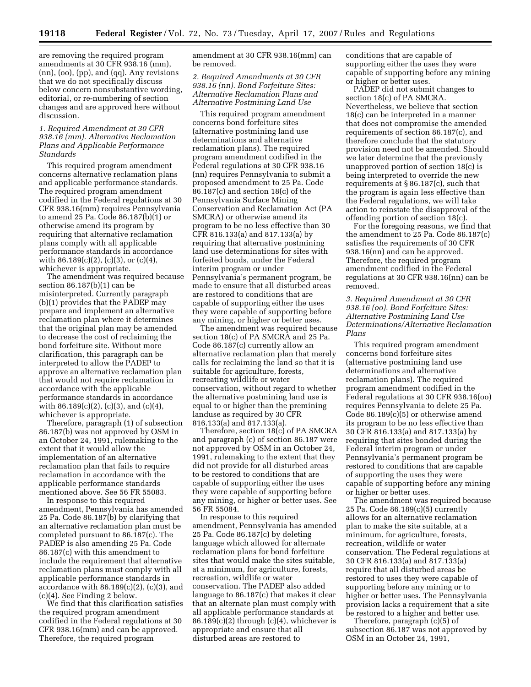are removing the required program amendments at 30 CFR 938.16 (mm), (nn), (oo), (pp), and (qq). Any revisions that we do not specifically discuss below concern nonsubstantive wording, editorial, or re-numbering of section changes and are approved here without discussion.

## *1. Required Amendment at 30 CFR 938.16 (mm). Alternative Reclamation Plans and Applicable Performance Standards*

This required program amendment concerns alternative reclamation plans and applicable performance standards. The required program amendment codified in the Federal regulations at 30 CFR 938.16(mm) requires Pennsylvania to amend 25 Pa. Code 86.187(b)(1) or otherwise amend its program by requiring that alternative reclamation plans comply with all applicable performance standards in accordance with  $86.189(c)(2)$ ,  $(c)(3)$ , or  $(c)(4)$ , whichever is appropriate.

The amendment was required because section 86.187(b)(1) can be misinterpreted. Currently paragraph (b)(1) provides that the PADEP may prepare and implement an alternative reclamation plan where it determines that the original plan may be amended to decrease the cost of reclaiming the bond forfeiture site. Without more clarification, this paragraph can be interpreted to allow the PADEP to approve an alternative reclamation plan that would not require reclamation in accordance with the applicable performance standards in accordance with 86.189(c)(2), (c)(3), and (c)(4), whichever is appropriate.

Therefore, paragraph (1) of subsection 86.187(b) was not approved by OSM in an October 24, 1991, rulemaking to the extent that it would allow the implementation of an alternative reclamation plan that fails to require reclamation in accordance with the applicable performance standards mentioned above. See 56 FR 55083.

In response to this required amendment, Pennsylvania has amended 25 Pa. Code 86.187(b) by clarifying that an alternative reclamation plan must be completed pursuant to 86.187(c). The PADEP is also amending 25 Pa. Code 86.187(c) with this amendment to include the requirement that alternative reclamation plans must comply with all applicable performance standards in accordance with 86.189(c)(2), (c)(3), and (c)(4). See Finding 2 below.

We find that this clarification satisfies the required program amendment codified in the Federal regulations at 30 CFR 938.16(mm) and can be approved. Therefore, the required program

amendment at 30 CFR 938.16(mm) can be removed.

## *2. Required Amendments at 30 CFR 938.16 (nn). Bond Forfeiture Sites: Alternative Reclamation Plans and Alternative Postmining Land Use*

This required program amendment concerns bond forfeiture sites (alternative postmining land use determinations and alternative reclamation plans). The required program amendment codified in the Federal regulations at 30 CFR 938.16 (nn) requires Pennsylvania to submit a proposed amendment to 25 Pa. Code 86.187(c) and section 18(c) of the Pennsylvania Surface Mining Conservation and Reclamation Act (PA SMCRA) or otherwise amend its program to be no less effective than 30 CFR 816.133(a) and 817.133(a) by requiring that alternative postmining land use determinations for sites with forfeited bonds, under the Federal interim program or under Pennsylvania's permanent program, be made to ensure that all disturbed areas are restored to conditions that are capable of supporting either the uses they were capable of supporting before any mining, or higher or better uses.

The amendment was required because section 18(c) of PA SMCRA and 25 Pa. Code 86.187(c) currently allow an alternative reclamation plan that merely calls for reclaiming the land so that it is suitable for agriculture, forests, recreating wildlife or water conservation, without regard to whether the alternative postmining land use is equal to or higher than the premining landuse as required by 30 CFR 816.133(a) and 817.133(a).

Therefore, section 18(c) of PA SMCRA and paragraph (c) of section 86.187 were not approved by OSM in an October 24, 1991, rulemaking to the extent that they did not provide for all disturbed areas to be restored to conditions that are capable of supporting either the uses they were capable of supporting before any mining, or higher or better uses. See 56 FR 55084.

In response to this required amendment, Pennsylvania has amended 25 Pa. Code 86.187(c) by deleting language which allowed for alternate reclamation plans for bond forfeiture sites that would make the sites suitable, at a minimum, for agriculture, forests, recreation, wildlife or water conservation. The PADEP also added language to 86.187(c) that makes it clear that an alternate plan must comply with all applicable performance standards at  $86.189(c)(2)$  through  $(c)(4)$ , whichever is appropriate and ensure that all disturbed areas are restored to

conditions that are capable of supporting either the uses they were capable of supporting before any mining or higher or better uses.

PADEP did not submit changes to section 18(c) of PA SMCRA. Nevertheless, we believe that section 18(c) can be interpreted in a manner that does not compromise the amended requirements of section 86.187(c), and therefore conclude that the statutory provision need not be amended. Should we later determine that the previously unapproved portion of section 18(c) is being interpreted to override the new requirements at § 86.187(c), such that the program is again less effective than the Federal regulations, we will take action to reinstate the disapproval of the offending portion of section 18(c).

For the foregoing reasons, we find that the amendment to 25 Pa. Code 86.187(c) satisfies the requirements of 30 CFR 938.16(nn) and can be approved. Therefore, the required program amendment codified in the Federal regulations at 30 CFR 938.16(nn) can be removed.

*3. Required Amendment at 30 CFR 938.16 (oo). Bond Forfeiture Sites: Alternative Postmining Land Use Determinations/Alternative Reclamation Plans* 

This required program amendment concerns bond forfeiture sites (alternative postmining land use determinations and alternative reclamation plans). The required program amendment codified in the Federal regulations at 30 CFR 938.16(oo) requires Pennsylvania to delete 25 Pa. Code 86.189(c)(5) or otherwise amend its program to be no less effective than 30 CFR 816.133(a) and 817.133(a) by requiring that sites bonded during the Federal interim program or under Pennsylvania's permanent program be restored to conditions that are capable of supporting the uses they were capable of supporting before any mining or higher or better uses.

The amendment was required because 25 Pa. Code 86.189(c)(5) currently allows for an alternative reclamation plan to make the site suitable, at a minimum, for agriculture, forests, recreation, wildlife or water conservation. The Federal regulations at 30 CFR 816.133(a) and 817.133(a) require that all disturbed areas be restored to uses they were capable of supporting before any mining or to higher or better uses. The Pennsylvania provision lacks a requirement that a site be restored to a higher and better use.

Therefore, paragraph (c)(5) of subsection 86.187 was not approved by OSM in an October 24, 1991,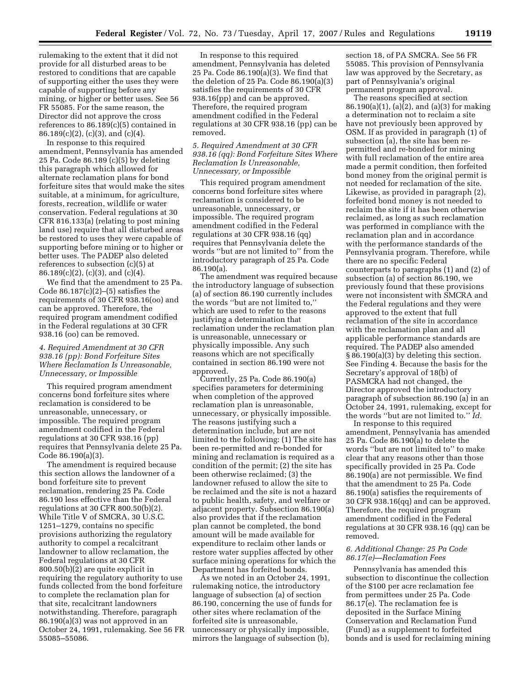rulemaking to the extent that it did not provide for all disturbed areas to be restored to conditions that are capable of supporting either the uses they were capable of supporting before any mining, or higher or better uses. See 56 FR 55085. For the same reason, the Director did not approve the cross references to 86.189(c)(5) contained in 86.189(c)(2), (c)(3), and (c)(4).

In response to this required amendment, Pennsylvania has amended 25 Pa. Code 86.189 (c)(5) by deleting this paragraph which allowed for alternate reclamation plans for bond forfeiture sites that would make the sites suitable, at a minimum, for agriculture, forests, recreation, wildlife or water conservation. Federal regulations at 30 CFR 816.133(a) (relating to post mining land use) require that all disturbed areas be restored to uses they were capable of supporting before mining or to higher or better uses. The PADEP also deleted references to subsection (c)(5) at 86.189(c)(2), (c)(3), and (c)(4).

We find that the amendment to 25 Pa. Code  $86.187(c)(2)–(5)$  satisfies the requirements of 30 CFR 938.16(oo) and can be approved. Therefore, the required program amendment codified in the Federal regulations at 30 CFR 938.16 (oo) can be removed.

## *4. Required Amendment at 30 CFR 938.16 (pp): Bond Forfeiture Sites Where Reclamation Is Unreasonable, Unnecessary, or Impossible*

This required program amendment concerns bond forfeiture sites where reclamation is considered to be unreasonable, unnecessary, or impossible. The required program amendment codified in the Federal regulations at 30 CFR 938.16 (pp) requires that Pennsylvania delete 25 Pa. Code 86.190(a)(3).

The amendment is required because this section allows the landowner of a bond forfeiture site to prevent reclamation, rendering 25 Pa. Code 86.190 less effective than the Federal regulations at 30 CFR 800.50(b)(2). While Title V of SMCRA, 30 U.S.C. 1251–1279, contains no specific provisions authorizing the regulatory authority to compel a recalcitrant landowner to allow reclamation, the Federal regulations at 30 CFR 800.50(b)(2) are quite explicit in requiring the regulatory authority to use funds collected from the bond forfeiture to complete the reclamation plan for that site, recalcitrant landowners notwithstanding. Therefore, paragraph 86.190(a)(3) was not approved in an October 24, 1991, rulemaking. See 56 FR 55085–55086.

In response to this required amendment, Pennsylvania has deleted 25 Pa. Code 86.190(a)(3). We find that the deletion of 25 Pa. Code 86.190(a)(3) satisfies the requirements of 30 CFR 938.16(pp) and can be approved. Therefore, the required program amendment codified in the Federal regulations at 30 CFR 938.16 (pp) can be removed.

#### *5. Required Amendment at 30 CFR 938.16 (qq): Bond Forfeiture Sites Where Reclamation Is Unreasonable, Unnecessary, or Impossible*

This required program amendment concerns bond forfeiture sites where reclamation is considered to be unreasonable, unnecessary, or impossible. The required program amendment codified in the Federal regulations at 30 CFR 938.16 (qq) requires that Pennsylvania delete the words ''but are not limited to'' from the introductory paragraph of 25 Pa. Code 86.190(a).

The amendment was required because the introductory language of subsection (a) of section 86.190 currently includes the words ''but are not limited to,'' which are used to refer to the reasons justifying a determination that reclamation under the reclamation plan is unreasonable, unnecessary or physically impossible. Any such reasons which are not specifically contained in section 86.190 were not approved.

Currently, 25 Pa. Code 86.190(a) specifies parameters for determining when completion of the approved reclamation plan is unreasonable, unnecessary, or physically impossible. The reasons justifying such a determination include, but are not limited to the following: (1) The site has been re-permitted and re-bonded for mining and reclamation is required as a condition of the permit; (2) the site has been otherwise reclaimed; (3) the landowner refused to allow the site to be reclaimed and the site is not a hazard to public health, safety, and welfare or adjacent property. Subsection 86.190(a) also provides that if the reclamation plan cannot be completed, the bond amount will be made available for expenditure to reclaim other lands or restore water supplies affected by other surface mining operations for which the Department has forfeited bonds.

As we noted in an October 24, 1991, rulemaking notice, the introductory language of subsection (a) of section 86.190, concerning the use of funds for other sites where reclamation of the forfeited site is unreasonable, unnecessary or physically impossible, mirrors the language of subsection (b),

section 18, of PA SMCRA. See 56 FR 55085. This provision of Pennsylvania law was approved by the Secretary, as part of Pennsylvania's original permanent program approval.

The reasons specified at section 86.190(a)(1), (a)(2), and (a)(3) for making a determination not to reclaim a site have not previously been approved by OSM. If as provided in paragraph (1) of subsection (a), the site has been repermitted and re-bonded for mining with full reclamation of the entire area made a permit condition, then forfeited bond money from the original permit is not needed for reclamation of the site. Likewise, as provided in paragraph (2), forfeited bond money is not needed to reclaim the site if it has been otherwise reclaimed, as long as such reclamation was performed in compliance with the reclamation plan and in accordance with the performance standards of the Pennsylvania program. Therefore, while there are no specific Federal counterparts to paragraphs (1) and (2) of subsection (a) of section 86.190, we previously found that these provisions were not inconsistent with SMCRA and the Federal regulations and they were approved to the extent that full reclamation of the site in accordance with the reclamation plan and all applicable performance standards are required. The PADEP also amended § 86.190(a)(3) by deleting this section. See Finding 4. Because the basis for the Secretary's approval of 18(b) of PASMCRA had not changed, the Director approved the introductory paragraph of subsection 86.190 (a) in an October 24, 1991, rulemaking, except for the words ''but are not limited to.'' *Id.*  In response to this required

amendment, Pennsylvania has amended 25 Pa. Code 86.190(a) to delete the words ''but are not limited to'' to make clear that any reasons other than those specifically provided in 25 Pa. Code 86.190(a) are not permissible. We find that the amendment to 25 Pa. Code 86.190(a) satisfies the requirements of 30 CFR 938.16(qq) and can be approved. Therefore, the required program amendment codified in the Federal regulations at 30 CFR 938.16 (qq) can be removed.

## *6. Additional Change: 25 Pa Code 86.17(e)—Reclamation Fees*

Pennsylvania has amended this subsection to discontinue the collection of the \$100 per acre reclamation fee from permittees under 25 Pa. Code 86.17(e). The reclamation fee is deposited in the Surface Mining Conservation and Reclamation Fund (Fund) as a supplement to forfeited bonds and is used for reclaiming mining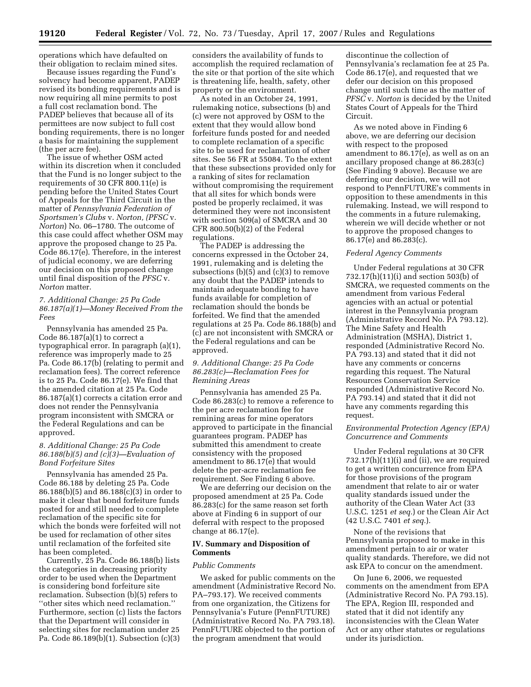operations which have defaulted on their obligation to reclaim mined sites.

Because issues regarding the Fund's solvency had become apparent, PADEP revised its bonding requirements and is now requiring all mine permits to post a full cost reclamation bond. The PADEP believes that because all of its permittees are now subject to full cost bonding requirements, there is no longer a basis for maintaining the supplement (the per acre fee).

The issue of whether OSM acted within its discretion when it concluded that the Fund is no longer subject to the requirements of 30 CFR 800.11(e) is pending before the United States Court of Appeals for the Third Circuit in the matter of *Pennsylvania Federation of Sportsmen's Clubs* v. *Norton, (PFSC* v. *Norton*) No. 06–1780. The outcome of this case could affect whether OSM may approve the proposed change to 25 Pa. Code 86.17(e). Therefore, in the interest of judicial economy, we are deferring our decision on this proposed change until final disposition of the *PFSC* v. *Norton* matter.

## *7. Additional Change: 25 Pa Code 86.187(a)(1)—Money Received From the Fees*

Pennsylvania has amended 25 Pa. Code  $86.187(a)(1)$  to correct a typographical error. In paragraph (a)(1), reference was improperly made to 25 Pa. Code 86.17(b) (relating to permit and reclamation fees). The correct reference is to 25 Pa. Code 86.17(e). We find that the amended citation at 25 Pa. Code 86.187(a)(1) corrects a citation error and does not render the Pennsylvania program inconsistent with SMCRA or the Federal Regulations and can be approved.

#### *8. Additional Change: 25 Pa Code 86.188(b)(5) and (c)(3)—Evaluation of Bond Forfeiture Sites*

Pennsylvania has amended 25 Pa. Code 86.188 by deleting 25 Pa. Code 86.188(b)(5) and 86.188(c)(3) in order to make it clear that bond forfeiture funds posted for and still needed to complete reclamation of the specific site for which the bonds were forfeited will not be used for reclamation of other sites until reclamation of the forfeited site has been completed.

Currently, 25 Pa. Code 86.188(b) lists the categories in decreasing priority order to be used when the Department is considering bond forfeiture site reclamation. Subsection (b)(5) refers to ''other sites which need reclamation.'' Furthermore, section (c) lists the factors that the Department will consider in selecting sites for reclamation under 25 Pa. Code 86.189(b)(1). Subsection (c)(3)

considers the availability of funds to accomplish the required reclamation of the site or that portion of the site which is threatening life, health, safety, other property or the environment.

As noted in an October 24, 1991, rulemaking notice, subsections (b) and (c) were not approved by OSM to the extent that they would allow bond forfeiture funds posted for and needed to complete reclamation of a specific site to be used for reclamation of other sites. See 56 FR at 55084. To the extent that these subsections provided only for a ranking of sites for reclamation without compromising the requirement that all sites for which bonds were posted be properly reclaimed, it was determined they were not inconsistent with section 509(a) of SMCRA and 30 CFR 800.50(b)(2) of the Federal regulations.

The PADEP is addressing the concerns expressed in the October 24, 1991, rulemaking and is deleting the subsections  $(b)(5)$  and  $(c)(3)$  to remove any doubt that the PADEP intends to maintain adequate bonding to have funds available for completion of reclamation should the bonds be forfeited. We find that the amended regulations at 25 Pa. Code 86.188(b) and (c) are not inconsistent with SMCRA or the Federal regulations and can be approved.

## *9. Additional Change: 25 Pa Code 86.283(c)—Reclamation Fees for Remining Areas*

Pennsylvania has amended 25 Pa. Code 86.283(c) to remove a reference to the per acre reclamation fee for remining areas for mine operators approved to participate in the financial guarantees program. PADEP has submitted this amendment to create consistency with the proposed amendment to 86.17(e) that would delete the per-acre reclamation fee requirement. See Finding 6 above.

We are deferring our decision on the proposed amendment at 25 Pa. Code 86.283(c) for the same reason set forth above at Finding 6 in support of our deferral with respect to the proposed change at 86.17(e).

## **IV. Summary and Disposition of Comments**

## *Public Comments*

We asked for public comments on the amendment (Administrative Record No. PA–793.17). We received comments from one organization, the Citizens for Pennsylvania's Future (PennFUTURE) (Administrative Record No. PA 793.18). PennFUTURE objected to the portion of the program amendment that would

discontinue the collection of Pennsylvania's reclamation fee at 25 Pa. Code 86.17(e), and requested that we defer our decision on this proposed change until such time as the matter of *PFSC* v. *Norton* is decided by the United States Court of Appeals for the Third Circuit.

As we noted above in Finding 6 above, we are deferring our decision with respect to the proposed amendment to 86.17(e), as well as on an ancillary proposed change at 86.283(c) (See Finding 9 above). Because we are deferring our decision, we will not respond to PennFUTURE's comments in opposition to these amendments in this rulemaking. Instead, we will respond to the comments in a future rulemaking, wherein we will decide whether or not to approve the proposed changes to 86.17(e) and 86.283(c).

#### *Federal Agency Comments*

Under Federal regulations at 30 CFR 732.17(h)(11)(i) and section 503(b) of SMCRA, we requested comments on the amendment from various Federal agencies with an actual or potential interest in the Pennsylvania program (Administrative Record No. PA 793.12). The Mine Safety and Health Administration (MSHA), District 1, responded (Administrative Record No. PA 793.13) and stated that it did not have any comments or concerns regarding this request. The Natural Resources Conservation Service responded (Administrative Record No. PA 793.14) and stated that it did not have any comments regarding this request.

## *Environmental Protection Agency (EPA) Concurrence and Comments*

Under Federal regulations at 30 CFR  $732.17(h)(11)(i)$  and (ii), we are required to get a written concurrence from EPA for those provisions of the program amendment that relate to air or water quality standards issued under the authority of the Clean Water Act (33 U.S.C. 1251 *et seq.*) or the Clean Air Act (42 U.S.C. 7401 *et seq.*).

None of the revisions that Pennsylvania proposed to make in this amendment pertain to air or water quality standards. Therefore, we did not ask EPA to concur on the amendment.

On June 6, 2006, we requested comments on the amendment from EPA (Administrative Record No. PA 793.15). The EPA, Region III, responded and stated that it did not identify any inconsistencies with the Clean Water Act or any other statutes or regulations under its jurisdiction.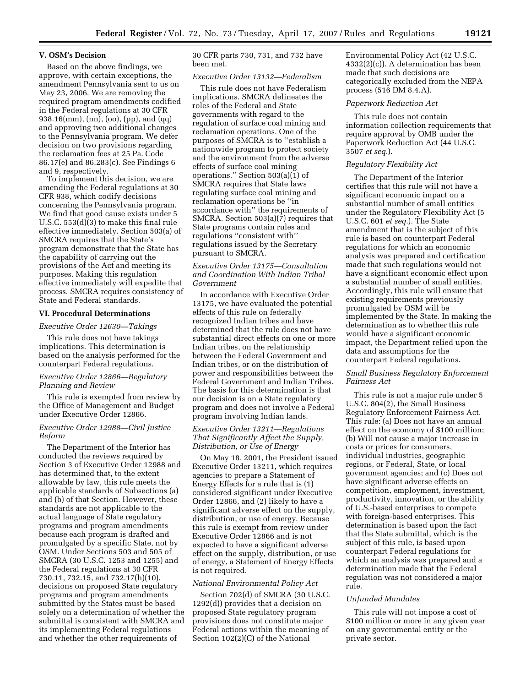#### **V. OSM's Decision**

Based on the above findings, we approve, with certain exceptions, the amendment Pennsylvania sent to us on May 23, 2006. We are removing the required program amendments codified in the Federal regulations at 30 CFR 938.16(mm), (nn), (oo), (pp), and (qq) and approving two additional changes to the Pennsylvania program. We defer decision on two provisions regarding the reclamation fees at 25 Pa. Code 86.17(e) and 86.283(c). See Findings 6 and 9, respectively.

To implement this decision, we are amending the Federal regulations at 30 CFR 938, which codify decisions concerning the Pennsylvania program. We find that good cause exists under 5 U.S.C. 553(d)(3) to make this final rule effective immediately. Section 503(a) of SMCRA requires that the State's program demonstrate that the State has the capability of carrying out the provisions of the Act and meeting its purposes. Making this regulation effective immediately will expedite that process. SMCRA requires consistency of State and Federal standards.

## **VI. Procedural Determinations**

#### *Executive Order 12630—Takings*

This rule does not have takings implications. This determination is based on the analysis performed for the counterpart Federal regulations.

## *Executive Order 12866—Regulatory Planning and Review*

This rule is exempted from review by the Office of Management and Budget under Executive Order 12866.

## *Executive Order 12988—Civil Justice Reform*

The Department of the Interior has conducted the reviews required by Section 3 of Executive Order 12988 and has determined that, to the extent allowable by law, this rule meets the applicable standards of Subsections (a) and (b) of that Section. However, these standards are not applicable to the actual language of State regulatory programs and program amendments because each program is drafted and promulgated by a specific State, not by OSM. Under Sections 503 and 505 of SMCRA (30 U.S.C. 1253 and 1255) and the Federal regulations at 30 CFR 730.11, 732.15, and 732.17(h)(10), decisions on proposed State regulatory programs and program amendments submitted by the States must be based solely on a determination of whether the submittal is consistent with SMCRA and its implementing Federal regulations and whether the other requirements of

30 CFR parts 730, 731, and 732 have been met.

# *Executive Order 13132—Federalism*

This rule does not have Federalism implications. SMCRA delineates the roles of the Federal and State governments with regard to the regulation of surface coal mining and reclamation operations. One of the purposes of SMCRA is to ''establish a nationwide program to protect society and the environment from the adverse effects of surface coal mining operations.'' Section 503(a)(1) of SMCRA requires that State laws regulating surface coal mining and reclamation operations be ''in accordance with'' the requirements of SMCRA. Section 503(a)(7) requires that State programs contain rules and regulations ''consistent with'' regulations issued by the Secretary pursuant to SMCRA.

## *Executive Order 13175—Consultation and Coordination With Indian Tribal Government*

In accordance with Executive Order 13175, we have evaluated the potential effects of this rule on federally recognized Indian tribes and have determined that the rule does not have substantial direct effects on one or more Indian tribes, on the relationship between the Federal Government and Indian tribes, or on the distribution of power and responsibilities between the Federal Government and Indian Tribes. The basis for this determination is that our decision is on a State regulatory program and does not involve a Federal program involving Indian lands.

## *Executive Order 13211—Regulations That Significantly Affect the Supply, Distribution, or Use of Energy*

On May 18, 2001, the President issued Executive Order 13211, which requires agencies to prepare a Statement of Energy Effects for a rule that is (1) considered significant under Executive Order 12866, and (2) likely to have a significant adverse effect on the supply, distribution, or use of energy. Because this rule is exempt from review under Executive Order 12866 and is not expected to have a significant adverse effect on the supply, distribution, or use of energy, a Statement of Energy Effects is not required.

#### *National Environmental Policy Act*

Section 702(d) of SMCRA (30 U.S.C. 1292(d)) provides that a decision on proposed State regulatory program provisions does not constitute major Federal actions within the meaning of Section 102(2)(C) of the National

Environmental Policy Act (42 U.S.C. 4332(2)(c)). A determination has been made that such decisions are categorically excluded from the NEPA process (516 DM 8.4.A).

## *Paperwork Reduction Act*

This rule does not contain information collection requirements that require approval by OMB under the Paperwork Reduction Act (44 U.S.C. 3507 *et seq.*).

#### *Regulatory Flexibility Act*

The Department of the Interior certifies that this rule will not have a significant economic impact on a substantial number of small entities under the Regulatory Flexibility Act (5 U.S.C. 601 *et seq.*). The State amendment that is the subject of this rule is based on counterpart Federal regulations for which an economic analysis was prepared and certification made that such regulations would not have a significant economic effect upon a substantial number of small entities. Accordingly, this rule will ensure that existing requirements previously promulgated by OSM will be implemented by the State. In making the determination as to whether this rule would have a significant economic impact, the Department relied upon the data and assumptions for the counterpart Federal regulations.

# *Small Business Regulatory Enforcement Fairness Act*

This rule is not a major rule under 5 U.S.C. 804(2), the Small Business Regulatory Enforcement Fairness Act. This rule: (a) Does not have an annual effect on the economy of \$100 million; (b) Will not cause a major increase in costs or prices for consumers, individual industries, geographic regions, or Federal, State, or local government agencies; and (c) Does not have significant adverse effects on competition, employment, investment, productivity, innovation, or the ability of U.S.-based enterprises to compete with foreign-based enterprises. This determination is based upon the fact that the State submittal, which is the subject of this rule, is based upon counterpart Federal regulations for which an analysis was prepared and a determination made that the Federal regulation was not considered a major rule.

## *Unfunded Mandates*

This rule will not impose a cost of \$100 million or more in any given year on any governmental entity or the private sector.